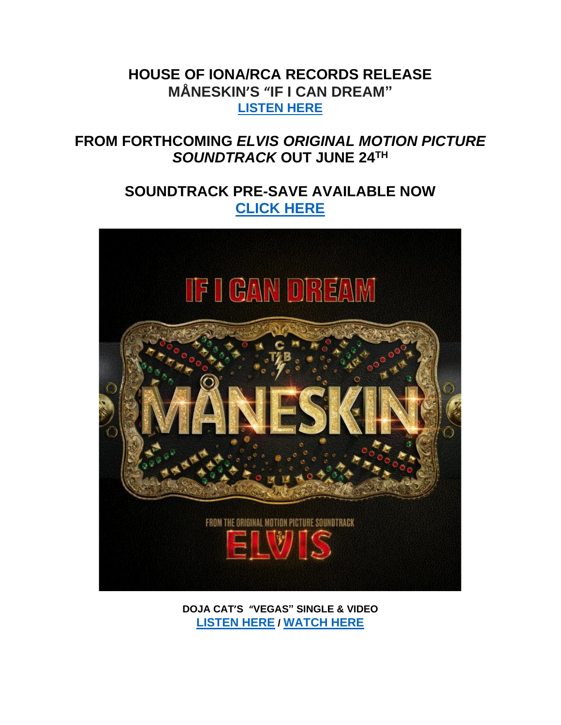## **HOUSE OF IONA/RCA RECORDS RELEASE MÅNESKIN'S "IF I CAN DREAM" [LISTEN HERE](https://eur01.safelinks.protection.outlook.com/?url=https%3A%2F%2Fmaneskin.lnk.to%2Fif_i_can_dream&data=05%7C01%7Cnoelle.janasiewicz.sme%40sonymusic.com%7Cb4c027abd4c345340c6c08da507df296%7Cf0aff3b791a54aaeaf71c63e1dda2049%7C0%7C0%7C637910799113229131%7CUnknown%7CTWFpbGZsb3d8eyJWIjoiMC4wLjAwMDAiLCJQIjoiV2luMzIiLCJBTiI6Ik1haWwiLCJXVCI6Mn0%3D%7C3000%7C%7C%7C&sdata=WpPlyoQ0Mi03HcBVlkKYnuwGNPoQrda2dvmq80H3FXc%3D&reserved=0)**

# **FROM FORTHCOMING** *ELVIS ORIGINAL MOTION PICTURE SOUNDTRACK* **OUT JUNE 24TH**

# **SOUNDTRACK PRE-SAVE AVAILABLE NOW [CLICK HERE](https://eur01.safelinks.protection.outlook.com/?url=https%253A%252F%252Furldefense.com%252Fv3%252F__https%253A%252Felvis.lnk.to%252Fsoundtrack__%253B!!AQdq3sQhfUj4q8uUguY!lYNYIyZxdFRhg_hMAe-LqeVSjUUwEjWyLIEaxoxEISh8sWyGZUdRXAcFqgPakMpBlll6CmtNLfBAuC3U2G9EbAEP_TEAkMt749bGS_M%2524&data=05%257C01%257Camanda.zimmerman%2540rcarecords.com%257C8695cbdc2ab04eee88ba08da4a529c0e%257Cf0aff3b791a54aaeaf71c63e1dda2049%257C0%257C0%257C637904015929052505%257CUnknown%257CTWFpbGZsb3d8eyJWIjoiMC4wLjAwMDAiLCJQIjoiV2luMzIiLCJBTiI6Ik1haWwiLCJXVCI6Mn0%253D%257C3000%257C%257C%257C&sdata=xJPFmouS0rFvjxWt98qfhXZ%252BOO1JArV%252Fcfv5LMcPVOw%253D&reserved=0)**



**DOJA CAT'S "VEGAS" SINGLE & VIDEO [LISTEN HERE](https://eur01.safelinks.protection.outlook.com/?url=https%253A%252F%252Furldefense.com%252Fv3%252F__https%253A%252Fdojacat.lnk.to%252Fvegas__%253B!!AQdq3sQhfUj4q8uUguY!lYNYIyZxdFRhg_hMAe-LqeVSjUUwEjWyLIEaxoxEISh8sWyGZUdRXAcFqgPakMpBlll6CmtNLfBAuC3U2G9EbAEP_TEAkMt79KZ_fWo%2524&data=05%257C01%257Camanda.zimmerman%2540rcarecords.com%257C8695cbdc2ab04eee88ba08da4a529c0e%257Cf0aff3b791a54aaeaf71c63e1dda2049%257C0%257C0%257C637904015929052505%257CUnknown%257CTWFpbGZsb3d8eyJWIjoiMC4wLjAwMDAiLCJQIjoiV2luMzIiLCJBTiI6Ik1haWwiLCJXVCI6Mn0%253D%257C3000%257C%257C%257C&sdata=xahyCjFF5%252FXnZ6lsF%252BH1YjxIokhGkxpGZu%252FKFZWBAu4%253D&reserved=0) / [WATCH HERE](https://eur01.safelinks.protection.outlook.com/?url=https%253A%252F%252Furldefense.com%252Fv3%252F__https%253A%252Fdojacat.lnk.to%252Fvegasvideo__%253B!!AQdq3sQhfUj4q8uUguY!lYNYIyZxdFRhg_hMAe-LqeVSjUUwEjWyLIEaxoxEISh8sWyGZUdRXAcFqgPakMpBlll6CmtNLfBAuC3U2G9EbAEP_TEAkMt7B3QVbkM%2524&data=05%257C01%257Camanda.zimmerman%2540rcarecords.com%257C8695cbdc2ab04eee88ba08da4a529c0e%257Cf0aff3b791a54aaeaf71c63e1dda2049%257C0%257C0%257C637904015929208720%257CUnknown%257CTWFpbGZsb3d8eyJWIjoiMC4wLjAwMDAiLCJQIjoiV2luMzIiLCJBTiI6Ik1haWwiLCJXVCI6Mn0%253D%257C3000%257C%257C%257C&sdata=kZhgy6g8Zym1%252BGSRtxBs9tp86zVPfRWseruBH2XKwLg%253D&reserved=0)**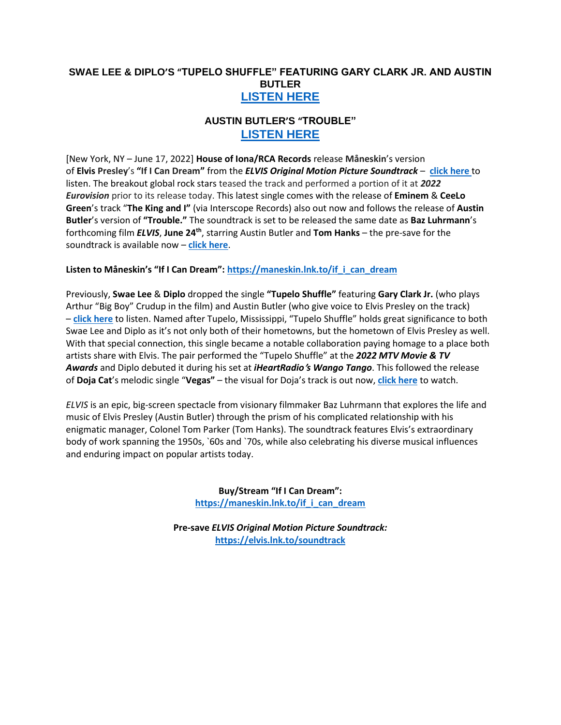### **SWAE LEE & DIPLO'S "TUPELO SHUFFLE" FEATURING GARY CLARK JR. AND AUSTIN BUTLER [LISTEN HERE](https://eur01.safelinks.protection.outlook.com/?url=https%253A%252F%252Furldefense.com%252Fv3%252F__https%253A%252Fdiploswaelee.lnk.to%252Ftupeloshuffle__%253B!!AQdq3sQhfUj4q8uUguY!lYNYIyZxdFRhg_hMAe-LqeVSjUUwEjWyLIEaxoxEISh8sWyGZUdRXAcFqgPakMpBlll6CmtNLfBAuC3U2G9EbAEP_TEAkMt7GFv-Ncw%2524&data=05%257C01%257Camanda.zimmerman%2540rcarecords.com%257C8695cbdc2ab04eee88ba08da4a529c0e%257Cf0aff3b791a54aaeaf71c63e1dda2049%257C0%257C0%257C637904015929052505%257CUnknown%257CTWFpbGZsb3d8eyJWIjoiMC4wLjAwMDAiLCJQIjoiV2luMzIiLCJBTiI6Ik1haWwiLCJXVCI6Mn0%253D%257C3000%257C%257C%257C&sdata=KH8i8qrBVgefwt0vT622OXuX%252BU8hnADw3LaR8WqlF8M%253D&reserved=0)**

### **AUSTIN BUTLER'S "TROUBLE" [LISTEN HERE](https://eur01.safelinks.protection.outlook.com/?url=https%3A%2F%2Faustinbutler.lnk.to%2Ftrouble&data=05%7C01%7Cnoelle.janasiewicz.sme%40sonymusic.com%7Cb4c027abd4c345340c6c08da507df296%7Cf0aff3b791a54aaeaf71c63e1dda2049%7C0%7C0%7C637910799113229131%7CUnknown%7CTWFpbGZsb3d8eyJWIjoiMC4wLjAwMDAiLCJQIjoiV2luMzIiLCJBTiI6Ik1haWwiLCJXVCI6Mn0%3D%7C3000%7C%7C%7C&sdata=HJRg64FvtkHuJPXjLpglREwRr7j2%2Bcbwfcb737EgVZU%3D&reserved=0)**

[New York, NY – June 17, 2022] **House of Iona/RCA Records** release **Måneskin**'s version of **Elvis Presley** 's **"If I Can Dream"** from the *ELVIS Original Motion Picture Soundtrack* – **click [here](https://eur01.safelinks.protection.outlook.com/?url=https%3A%2F%2Fmaneskin.lnk.to%2Fif_i_can_dream&data=05%7C01%7Cnoelle.janasiewicz.sme%40sonymusic.com%7Cb4c027abd4c345340c6c08da507df296%7Cf0aff3b791a54aaeaf71c63e1dda2049%7C0%7C0%7C637910799113229131%7CUnknown%7CTWFpbGZsb3d8eyJWIjoiMC4wLjAwMDAiLCJQIjoiV2luMzIiLCJBTiI6Ik1haWwiLCJXVCI6Mn0%3D%7C3000%7C%7C%7C&sdata=WpPlyoQ0Mi03HcBVlkKYnuwGNPoQrda2dvmq80H3FXc%3D&reserved=0)** to listen. The breakout global rock stars teased the track and performed a portion of it at *2022 Eurovision* prior to its release today. This latest single comes with the release of **Eminem** & **CeeLo Green**'s track "**The King and I"** (via Interscope Records) also out now and follows the release of **Austin Butler**'s version of **"Trouble."** The soundtrack is set to be released the same date as **Baz Luhrmann**'s forthcoming film *ELVIS*, **June 24th**, starring Austin Butler and **Tom Hanks** – the pre-save for the soundtrack is available now – **[click here](https://eur01.safelinks.protection.outlook.com/?url=https%253A%252F%252Furldefense.com%252Fv3%252F__https%253A%252Felvis.lnk.to%252Fsoundtrack__%253B!!AQdq3sQhfUj4q8uUguY!lYNYIyZxdFRhg_hMAe-LqeVSjUUwEjWyLIEaxoxEISh8sWyGZUdRXAcFqgPakMpBlll6CmtNLfBAuC3U2G9EbAEP_TEAkMt749bGS_M%2524&data=05%257C01%257Camanda.zimmerman%2540rcarecords.com%257C8695cbdc2ab04eee88ba08da4a529c0e%257Cf0aff3b791a54aaeaf71c63e1dda2049%257C0%257C0%257C637904015929208720%257CUnknown%257CTWFpbGZsb3d8eyJWIjoiMC4wLjAwMDAiLCJQIjoiV2luMzIiLCJBTiI6Ik1haWwiLCJXVCI6Mn0%253D%257C3000%257C%257C%257C&sdata=3rRi2pbl9kGoj5D68LKD03oWdx8r95NYCsqNlIH4xNA%253D&reserved=0)**.

#### **Listen to Måneskin's "If I Can Dream": [https://maneskin.lnk.to/if\\_i\\_can\\_dream](https://eur01.safelinks.protection.outlook.com/?url=https%3A%2F%2Fmaneskin.lnk.to%2Fif_i_can_dream&data=05%7C01%7Cnoelle.janasiewicz.sme%40sonymusic.com%7Cb4c027abd4c345340c6c08da507df296%7Cf0aff3b791a54aaeaf71c63e1dda2049%7C0%7C0%7C637910799113229131%7CUnknown%7CTWFpbGZsb3d8eyJWIjoiMC4wLjAwMDAiLCJQIjoiV2luMzIiLCJBTiI6Ik1haWwiLCJXVCI6Mn0%3D%7C3000%7C%7C%7C&sdata=WpPlyoQ0Mi03HcBVlkKYnuwGNPoQrda2dvmq80H3FXc%3D&reserved=0)**

Previously, **Swae Lee** & **Diplo** dropped the single **"Tupelo Shuffle"** featuring **Gary Clark Jr.** (who plays Arthur "Big Boy" Crudup in the film) and Austin Butler (who give voice to Elvis Presley on the track) – **[click here](https://eur01.safelinks.protection.outlook.com/?url=https%253A%252F%252Furldefense.com%252Fv3%252F__https%253A%252Fdiploswaelee.lnk.to%252Ftupeloshuffle__%253B!!AQdq3sQhfUj4q8uUguY!lYNYIyZxdFRhg_hMAe-LqeVSjUUwEjWyLIEaxoxEISh8sWyGZUdRXAcFqgPakMpBlll6CmtNLfBAuC3U2G9EbAEP_TEAkMt7GFv-Ncw%2524&data=05%257C01%257Camanda.zimmerman%2540rcarecords.com%257C8695cbdc2ab04eee88ba08da4a529c0e%257Cf0aff3b791a54aaeaf71c63e1dda2049%257C0%257C0%257C637904015929208720%257CUnknown%257CTWFpbGZsb3d8eyJWIjoiMC4wLjAwMDAiLCJQIjoiV2luMzIiLCJBTiI6Ik1haWwiLCJXVCI6Mn0%253D%257C3000%257C%257C%257C&sdata=VzXKMbR8WYhyfGyq7YE9xRylJ3nOeIqOFDwNMbmlcP4%253D&reserved=0)** to listen. Named after Tupelo, Mississippi, "Tupelo Shuffle" holds great significance to both Swae Lee and Diplo as it's not only both of their hometowns, but the hometown of Elvis Presley as well. With that special connection, this single became a notable collaboration paying homage to a place both artists share with Elvis. The pair performed the "Tupelo Shuffle" at the *2022 MTV Movie & TV Awards* and Diplo debuted it during his set at *iHeartRadio***'***s Wango Tango*. This followed the release of **Doja Cat**'s melodic single "**Vegas"** – the visual for Doja's track is out now, **[click here](https://eur01.safelinks.protection.outlook.com/?url=https%253A%252F%252Furldefense.com%252Fv3%252F__https%253A%252Fdojacat.lnk.to%252Fvegasvideo__%253B!!AQdq3sQhfUj4q8uUguY!lYNYIyZxdFRhg_hMAe-LqeVSjUUwEjWyLIEaxoxEISh8sWyGZUdRXAcFqgPakMpBlll6CmtNLfBAuC3U2G9EbAEP_TEAkMt7B3QVbkM%2524&data=05%257C01%257Camanda.zimmerman%2540rcarecords.com%257C8695cbdc2ab04eee88ba08da4a529c0e%257Cf0aff3b791a54aaeaf71c63e1dda2049%257C0%257C0%257C637904015929208720%257CUnknown%257CTWFpbGZsb3d8eyJWIjoiMC4wLjAwMDAiLCJQIjoiV2luMzIiLCJBTiI6Ik1haWwiLCJXVCI6Mn0%253D%257C3000%257C%257C%257C&sdata=kZhgy6g8Zym1%252BGSRtxBs9tp86zVPfRWseruBH2XKwLg%253D&reserved=0)** to watch.

*ELVIS* is an epic, big-screen spectacle from visionary filmmaker Baz Luhrmann that explores the life and music of Elvis Presley (Austin Butler) through the prism of his complicated relationship with his enigmatic manager, Colonel Tom Parker (Tom Hanks). The soundtrack features Elvis's extraordinary body of work spanning the 1950s, `60s and `70s, while also celebrating his diverse musical influences and enduring impact on popular artists today.

> **Buy/Stream "If I Can Dream": [https://maneskin.lnk.to/if\\_i\\_can\\_dream](https://eur01.safelinks.protection.outlook.com/?url=https%3A%2F%2Fmaneskin.lnk.to%2Fif_i_can_dream&data=05%7C01%7Cnoelle.janasiewicz.sme%40sonymusic.com%7Cb4c027abd4c345340c6c08da507df296%7Cf0aff3b791a54aaeaf71c63e1dda2049%7C0%7C0%7C637910799113229131%7CUnknown%7CTWFpbGZsb3d8eyJWIjoiMC4wLjAwMDAiLCJQIjoiV2luMzIiLCJBTiI6Ik1haWwiLCJXVCI6Mn0%3D%7C3000%7C%7C%7C&sdata=WpPlyoQ0Mi03HcBVlkKYnuwGNPoQrda2dvmq80H3FXc%3D&reserved=0)**

**Pre-save** *ELVIS Original Motion Picture Soundtrack:* **[https://elvis.lnk.to/soundtrack](https://eur01.safelinks.protection.outlook.com/?url=https%253A%252F%252Furldefense.com%252Fv3%252F__https%253A%252Felvis.lnk.to%252Fsoundtrack__%253B!!AQdq3sQhfUj4q8uUguY!lYNYIyZxdFRhg_hMAe-LqeVSjUUwEjWyLIEaxoxEISh8sWyGZUdRXAcFqgPakMpBlll6CmtNLfBAuC3U2G9EbAEP_TEAkMt749bGS_M%2524&data=05%257C01%257Camanda.zimmerman%2540rcarecords.com%257C8695cbdc2ab04eee88ba08da4a529c0e%257Cf0aff3b791a54aaeaf71c63e1dda2049%257C0%257C0%257C637904015929208720%257CUnknown%257CTWFpbGZsb3d8eyJWIjoiMC4wLjAwMDAiLCJQIjoiV2luMzIiLCJBTiI6Ik1haWwiLCJXVCI6Mn0%253D%257C3000%257C%257C%257C&sdata=3rRi2pbl9kGoj5D68LKD03oWdx8r95NYCsqNlIH4xNA%253D&reserved=0)**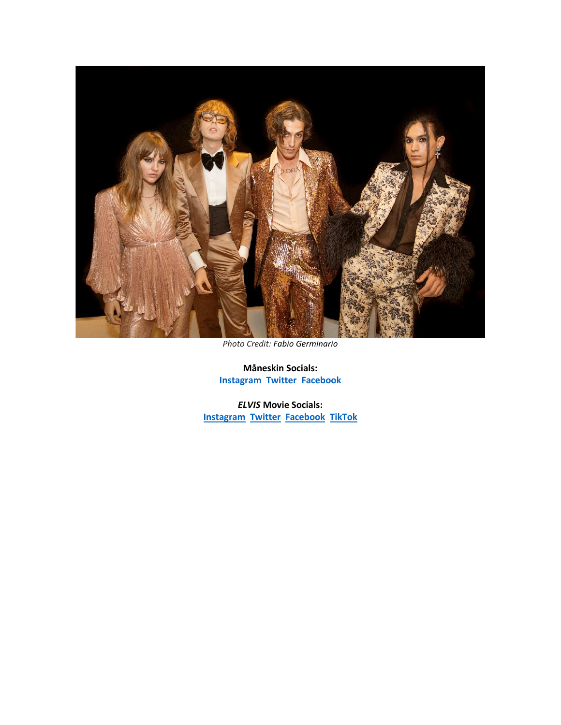

*Photo Credit: Fabio Germinario*

**Måneskin Socials: [Instagram](https://eur01.safelinks.protection.outlook.com/?url=https%3A%2F%2Fwww.instagram.com%2Fmaneskinofficial%2F%3Fhl%3Dit&data=05%7C01%7Cnoelle.janasiewicz.sme%40sonymusic.com%7Cb4c027abd4c345340c6c08da507df296%7Cf0aff3b791a54aaeaf71c63e1dda2049%7C0%7C0%7C637910799113229131%7CUnknown%7CTWFpbGZsb3d8eyJWIjoiMC4wLjAwMDAiLCJQIjoiV2luMzIiLCJBTiI6Ik1haWwiLCJXVCI6Mn0%3D%7C3000%7C%7C%7C&sdata=OyTff2tWSVWyy8aYGQBgGGdBwUwOEIDIyrpn7x4h3k4%3D&reserved=0) [Twitter](https://eur01.safelinks.protection.outlook.com/?url=https%3A%2F%2Ftwitter.com%2Fthisismaneskin&data=05%7C01%7Cnoelle.janasiewicz.sme%40sonymusic.com%7Cb4c027abd4c345340c6c08da507df296%7Cf0aff3b791a54aaeaf71c63e1dda2049%7C0%7C0%7C637910799113229131%7CUnknown%7CTWFpbGZsb3d8eyJWIjoiMC4wLjAwMDAiLCJQIjoiV2luMzIiLCJBTiI6Ik1haWwiLCJXVCI6Mn0%3D%7C3000%7C%7C%7C&sdata=OkcVzPW9XzEJm0e0AfchLlHfP16PhPAV9Yycsc1NbLQ%3D&reserved=0) [Facebook](https://eur01.safelinks.protection.outlook.com/?url=https%3A%2F%2Fwww.facebook.com%2Fmaneskinofficial&data=05%7C01%7Cnoelle.janasiewicz.sme%40sonymusic.com%7Cb4c027abd4c345340c6c08da507df296%7Cf0aff3b791a54aaeaf71c63e1dda2049%7C0%7C0%7C637910799113229131%7CUnknown%7CTWFpbGZsb3d8eyJWIjoiMC4wLjAwMDAiLCJQIjoiV2luMzIiLCJBTiI6Ik1haWwiLCJXVCI6Mn0%3D%7C3000%7C%7C%7C&sdata=b8D4yhaUc9kSWZNl%2FBNQzg1h8i87jOI6vS7vlZKVtfM%3D&reserved=0)**

*ELVIS* **Movie Socials: [Instagram](https://eur01.safelinks.protection.outlook.com/?url=https%253A%252F%252Furldefense.com%252Fv3%252F__https%253A%252Feur01.safelinks.protection.outlook.com%252F%253Furl%253Dhttps*3A*2F*2Fwww.instagram.com*2Felvismovie*2F%2526data%253D05*7C01*7Camanda.zimmerman*40sonymusic.com*7C294fc6bb0ec34bc3126408da44ce0006*7Cf0aff3b791a54aaeaf71c63e1dda2049*7C0*7C0*7C637897948802482840*7CUnknown*7CTWFpbGZsb3d8eyJWIjoiMC4wLjAwMDAiLCJQIjoiV2luMzIiLCJBTiI6Ik1haWwiLCJXVCI6Mn0*3D*7C3000*7C*7C*7C%2526sdata%253DWiMDCbBFMakW9YZAF5RQVmxijdJBhnOS0yZLQK6m3UE*3D%2526reserved%253D0__%253BJSUlJSUlJSUlJSUlJSUlJSUlJSUl!!AQdq3sQhfUj4q8uUguY!lYNYIyZxdFRhg_hMAe-LqeVSjUUwEjWyLIEaxoxEISh8sWyGZUdRXAcFqgPakMpBlll6CmtNLfBAuC3U2G9EbAEP_TEAkMt7mZ7KaIQ%2524&data=05%257C01%257Camanda.zimmerman%2540rcarecords.com%257C8695cbdc2ab04eee88ba08da4a529c0e%257Cf0aff3b791a54aaeaf71c63e1dda2049%257C0%257C0%257C637904015929208720%257CUnknown%257CTWFpbGZsb3d8eyJWIjoiMC4wLjAwMDAiLCJQIjoiV2luMzIiLCJBTiI6Ik1haWwiLCJXVCI6Mn0%253D%257C3000%257C%257C%257C&sdata=S7rK2awkD6jdHGe1hmZDut%252BQiXx9mDux7qv58Y%252FOSVo%253D&reserved=0) [Twitter](https://eur01.safelinks.protection.outlook.com/?url=https%253A%252F%252Furldefense.com%252Fv3%252F__https%253A%252Feur01.safelinks.protection.outlook.com%252F%253Furl%253Dhttps*3A*2F*2Ftwitter.com*2Felvismovie*3Flang*3Den%2526data%253D05*7C01*7Camanda.zimmerman*40sonymusic.com*7C294fc6bb0ec34bc3126408da44ce0006*7Cf0aff3b791a54aaeaf71c63e1dda2049*7C0*7C0*7C637897948802482840*7CUnknown*7CTWFpbGZsb3d8eyJWIjoiMC4wLjAwMDAiLCJQIjoiV2luMzIiLCJBTiI6Ik1haWwiLCJXVCI6Mn0*3D*7C3000*7C*7C*7C%2526sdata%253DcGps27oHgSkuGUso9yaXs0S7K6rWYgfH*2Ftb*2Fld7yMMU*3D%2526reserved%253D0__%253BJSUlJSUlJSUlJSUlJSUlJSUlJSUlJSUl!!AQdq3sQhfUj4q8uUguY!lYNYIyZxdFRhg_hMAe-LqeVSjUUwEjWyLIEaxoxEISh8sWyGZUdRXAcFqgPakMpBlll6CmtNLfBAuC3U2G9EbAEP_TEAkMt79f6gUM4%2524&data=05%257C01%257Camanda.zimmerman%2540rcarecords.com%257C8695cbdc2ab04eee88ba08da4a529c0e%257Cf0aff3b791a54aaeaf71c63e1dda2049%257C0%257C0%257C637904015929208720%257CUnknown%257CTWFpbGZsb3d8eyJWIjoiMC4wLjAwMDAiLCJQIjoiV2luMzIiLCJBTiI6Ik1haWwiLCJXVCI6Mn0%253D%257C3000%257C%257C%257C&sdata=jvv4o8mF3AH8ZZCQ3L%252FMINbG3ZY76woSAUfshR12ots%253D&reserved=0) [Facebook](https://eur01.safelinks.protection.outlook.com/?url=https%253A%252F%252Furldefense.com%252Fv3%252F__https%253A%252Feur01.safelinks.protection.outlook.com%252F%253Furl%253Dhttps*3A*2F*2Fwww.facebook.com*2FElvisMovie*2F%2526data%253D05*7C01*7Camanda.zimmerman*40sonymusic.com*7C294fc6bb0ec34bc3126408da44ce0006*7Cf0aff3b791a54aaeaf71c63e1dda2049*7C0*7C0*7C637897948802482840*7CUnknown*7CTWFpbGZsb3d8eyJWIjoiMC4wLjAwMDAiLCJQIjoiV2luMzIiLCJBTiI6Ik1haWwiLCJXVCI6Mn0*3D*7C3000*7C*7C*7C%2526sdata%253DGTvb0LwyswjPKjVM65ahBosw*2Bxt6MOPYvGWLKkph2Lo*3D%2526reserved%253D0__%253BJSUlJSUlJSUlJSUlJSUlJSUlJSUlJQ!!AQdq3sQhfUj4q8uUguY!lYNYIyZxdFRhg_hMAe-LqeVSjUUwEjWyLIEaxoxEISh8sWyGZUdRXAcFqgPakMpBlll6CmtNLfBAuC3U2G9EbAEP_TEAkMt7KS4a5KI%2524&data=05%257C01%257Camanda.zimmerman%2540rcarecords.com%257C8695cbdc2ab04eee88ba08da4a529c0e%257Cf0aff3b791a54aaeaf71c63e1dda2049%257C0%257C0%257C637904015929208720%257CUnknown%257CTWFpbGZsb3d8eyJWIjoiMC4wLjAwMDAiLCJQIjoiV2luMzIiLCJBTiI6Ik1haWwiLCJXVCI6Mn0%253D%257C3000%257C%257C%257C&sdata=pUax5k5Cqu6p%252Bj7lNkynb3KsfhrTAcgIi7%252FititaA1w%253D&reserved=0) [TikTok](https://eur01.safelinks.protection.outlook.com/?url=https%253A%252F%252Furldefense.com%252Fv3%252F__https%253A%252Fwww.tiktok.com%252F%2540elvisfilm%253Fis_from_webapp%253D1%2526sender_device%253Dpc__%253B!!AQdq3sQhfUj4q8uUguY!lYNYIyZxdFRhg_hMAe-LqeVSjUUwEjWyLIEaxoxEISh8sWyGZUdRXAcFqgPakMpBlll6CmtNLfBAuC3U2G9EbAEP_TEAkMt7n00k7cY%2524&data=05%257C01%257Camanda.zimmerman%2540rcarecords.com%257C8695cbdc2ab04eee88ba08da4a529c0e%257Cf0aff3b791a54aaeaf71c63e1dda2049%257C0%257C0%257C637904015929208720%257CUnknown%257CTWFpbGZsb3d8eyJWIjoiMC4wLjAwMDAiLCJQIjoiV2luMzIiLCJBTiI6Ik1haWwiLCJXVCI6Mn0%253D%257C3000%257C%257C%257C&sdata=ijppUdwKcQbD8ths2avfidgdr2lJEg9wMdvnrhb8Prg%253D&reserved=0)**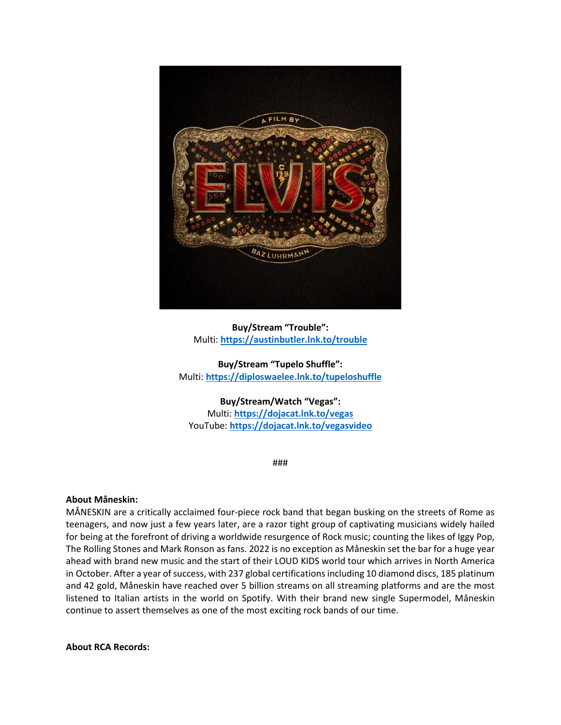

### **Buy/Stream "Trouble":** Multi: **[https://austinbutler.lnk.to/trouble](https://eur01.safelinks.protection.outlook.com/?url=https%3A%2F%2Faustinbutler.lnk.to%2Ftrouble&data=05%7C01%7Cnoelle.janasiewicz.sme%40sonymusic.com%7Cb4c027abd4c345340c6c08da507df296%7Cf0aff3b791a54aaeaf71c63e1dda2049%7C0%7C0%7C637910799113229131%7CUnknown%7CTWFpbGZsb3d8eyJWIjoiMC4wLjAwMDAiLCJQIjoiV2luMzIiLCJBTiI6Ik1haWwiLCJXVCI6Mn0%3D%7C3000%7C%7C%7C&sdata=HJRg64FvtkHuJPXjLpglREwRr7j2%2Bcbwfcb737EgVZU%3D&reserved=0)**

**Buy/Stream "Tupelo Shuffle":** Multi: **[https://diploswaelee.lnk.to/tupeloshuffle](https://eur01.safelinks.protection.outlook.com/?url=https%253A%252F%252Furldefense.com%252Fv3%252F__https%253A%252Fdiploswaelee.lnk.to%252Ftupeloshuffle__%253B!!AQdq3sQhfUj4q8uUguY!lYNYIyZxdFRhg_hMAe-LqeVSjUUwEjWyLIEaxoxEISh8sWyGZUdRXAcFqgPakMpBlll6CmtNLfBAuC3U2G9EbAEP_TEAkMt7GFv-Ncw%2524&data=05%257C01%257Camanda.zimmerman%2540rcarecords.com%257C8695cbdc2ab04eee88ba08da4a529c0e%257Cf0aff3b791a54aaeaf71c63e1dda2049%257C0%257C0%257C637904015929208720%257CUnknown%257CTWFpbGZsb3d8eyJWIjoiMC4wLjAwMDAiLCJQIjoiV2luMzIiLCJBTiI6Ik1haWwiLCJXVCI6Mn0%253D%257C3000%257C%257C%257C&sdata=VzXKMbR8WYhyfGyq7YE9xRylJ3nOeIqOFDwNMbmlcP4%253D&reserved=0)**

#### **Buy/Stream/Watch "Vegas":**

Multi: **[https://dojacat.lnk.to/vegas](https://eur01.safelinks.protection.outlook.com/?url=https%253A%252F%252Furldefense.com%252Fv3%252F__https%253A%252Fdojacat.lnk.to%252Fvegas__%253B!!AQdq3sQhfUj4q8uUguY!lYNYIyZxdFRhg_hMAe-LqeVSjUUwEjWyLIEaxoxEISh8sWyGZUdRXAcFqgPakMpBlll6CmtNLfBAuC3U2G9EbAEP_TEAkMt79KZ_fWo%2524&data=05%257C01%257Camanda.zimmerman%2540rcarecords.com%257C8695cbdc2ab04eee88ba08da4a529c0e%257Cf0aff3b791a54aaeaf71c63e1dda2049%257C0%257C0%257C637904015929208720%257CUnknown%257CTWFpbGZsb3d8eyJWIjoiMC4wLjAwMDAiLCJQIjoiV2luMzIiLCJBTiI6Ik1haWwiLCJXVCI6Mn0%253D%257C3000%257C%257C%257C&sdata=5foCcEArsatKFmF2SRl4NJls6VwqO1L671UUVySzEBg%253D&reserved=0)** YouTube: **[https://dojacat.lnk.to/vegasvideo](https://eur01.safelinks.protection.outlook.com/?url=https%253A%252F%252Furldefense.com%252Fv3%252F__https%253A%252Fdojacat.lnk.to%252Fvegasvideo__%253B!!AQdq3sQhfUj4q8uUguY!lYNYIyZxdFRhg_hMAe-LqeVSjUUwEjWyLIEaxoxEISh8sWyGZUdRXAcFqgPakMpBlll6CmtNLfBAuC3U2G9EbAEP_TEAkMt7B3QVbkM%2524&data=05%257C01%257Camanda.zimmerman%2540rcarecords.com%257C8695cbdc2ab04eee88ba08da4a529c0e%257Cf0aff3b791a54aaeaf71c63e1dda2049%257C0%257C0%257C637904015929208720%257CUnknown%257CTWFpbGZsb3d8eyJWIjoiMC4wLjAwMDAiLCJQIjoiV2luMzIiLCJBTiI6Ik1haWwiLCJXVCI6Mn0%253D%257C3000%257C%257C%257C&sdata=kZhgy6g8Zym1%252BGSRtxBs9tp86zVPfRWseruBH2XKwLg%253D&reserved=0)**

###

#### **About Måneskin:**

MÅNESKIN are a critically acclaimed four-piece rock band that began busking on the streets of Rome as teenagers, and now just a few years later, are a razor tight group of captivating musicians widely hailed for being at the forefront of driving a worldwide resurgence of Rock music; counting the likes of Iggy Pop, The Rolling Stones and Mark Ronson as fans. 2022 is no exception as Måneskin set the bar for a huge year ahead with brand new music and the start of their LOUD KIDS world tour which arrives in North America in October. After a year of success, with 237 global certifications including 10 diamond discs, 185 platinum and 42 gold, Måneskin have reached over 5 billion streams on all streaming platforms and are the most listened to Italian artists in the world on Spotify. With their brand new single Supermodel, Måneskin continue to assert themselves as one of the most exciting rock bands of our time.

**About RCA Records:**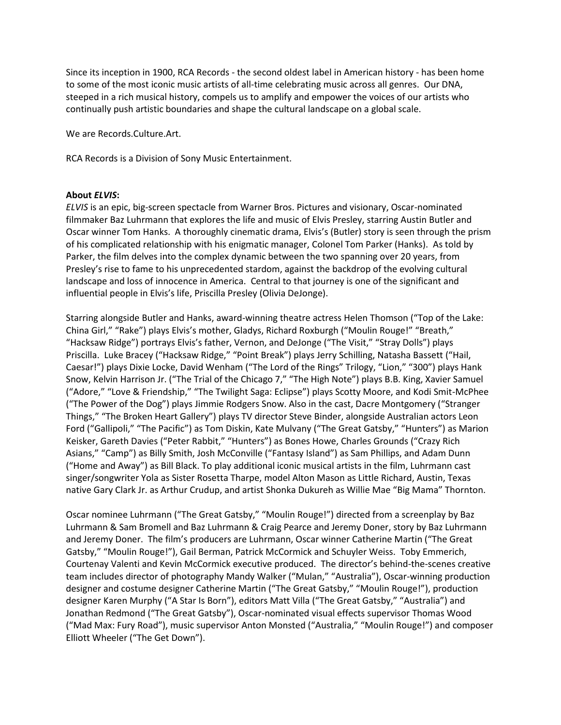Since its inception in 1900, RCA Records - the second oldest label in American history - has been home to some of the most iconic music artists of all-time celebrating music across all genres. Our DNA, steeped in a rich musical history, compels us to amplify and empower the voices of our artists who continually push artistic boundaries and shape the cultural landscape on a global scale.

We are Records.Culture.Art.

RCA Records is a Division of Sony Music Entertainment.

#### **About** *ELVIS***:**

*ELVIS* is an epic, big-screen spectacle from Warner Bros. Pictures and visionary, Oscar-nominated filmmaker Baz Luhrmann that explores the life and music of Elvis Presley, starring Austin Butler and Oscar winner Tom Hanks. A thoroughly cinematic drama, Elvis's (Butler) story is seen through the prism of his complicated relationship with his enigmatic manager, Colonel Tom Parker (Hanks). As told by Parker, the film delves into the complex dynamic between the two spanning over 20 years, from Presley's rise to fame to his unprecedented stardom, against the backdrop of the evolving cultural landscape and loss of innocence in America. Central to that journey is one of the significant and influential people in Elvis's life, Priscilla Presley (Olivia DeJonge).

Starring alongside Butler and Hanks, award-winning theatre actress Helen Thomson ( "Top of the Lake: China Girl," "Rake") plays Elvis's mother, Gladys, Richard Roxburgh ("Moulin Rouge!" "Breath," "Hacksaw Ridge") portrays Elvis's father, Vernon, and DeJonge ("The Visit," "Stray Dolls") plays Priscilla. Luke Bracey ("Hacksaw Ridge," "Point Break") plays Jerry Schilling, Natasha Bassett ("Hail, Caesar!") plays Dixie Locke, David Wenham ("The Lord of the Rings" Trilogy, "Lion," "300") plays Hank Snow, Kelvin Harrison Jr. ( "The Trial of the Chicago 7," "The High Note") plays B.B. King, Xavier Samuel ( "Adore," "Love & Friendship," "The Twilight Saga: Eclipse") plays Scotty Moore, and Kodi Smit-McPhee ( "The Power of the Dog") plays Jimmie Rodgers Snow. Also in the cast, Dacre Montgomery ( "Stranger Things," "The Broken Heart Gallery") plays TV director Steve Binder, alongside Australian actors Leon Ford ( "Gallipoli," "The Pacific") as Tom Diskin, Kate Mulvany ( "The Great Gatsby," "Hunters") as Marion Keisker, Gareth Davies ("Peter Rabbit," "Hunters") as Bones Howe, Charles Grounds ("Crazy Rich Asians," "Camp") as Billy Smith, Josh McConville ("Fantasy Island") as Sam Phillips, and Adam Dunn ( "Home and Away") as Bill Black. To play additional iconic musical artists in the film, Luhrmann cast singer/songwriter Yola as Sister Rosetta Tharpe, model Alton Mason as Little Richard, Austin, Texas native Gary Clark Jr. as Arthur Crudup, and artist Shonka Dukureh as Willie Mae "Big Mama" Thornton.

Oscar nominee Luhrmann ( "The Great Gatsby," "Moulin Rouge!") directed from a screenplay by Baz Luhrmann & Sam Bromell and Baz Luhrmann & Craig Pearce and Jeremy Doner, story by Baz Luhrmann and Jeremy Doner. The film's producers are Luhrmann, Oscar winner Catherine Martin ( "The Great Gatsby," "Moulin Rouge!"), Gail Berman, Patrick McCormick and Schuyler Weiss. Toby Emmerich, Courtenay Valenti and Kevin McCormick executive produced. The director's behind-the-scenes creative team includes director of photography Mandy Walker ("Mulan," "Australia"), Oscar-winning production designer and costume designer Catherine Martin ("The Great Gatsby," "Moulin Rouge!"), production designer Karen Murphy ("A Star Is Born"), editors Matt Villa ("The Great Gatsby," "Australia") and Jonathan Redmond ("The Great Gatsby"), Oscar-nominated visual effects supervisor Thomas Wood ( "Mad Max: Fury Road"), music supervisor Anton Monsted ( "Australia," "Moulin Rouge!") and composer Elliott Wheeler ("The Get Down").